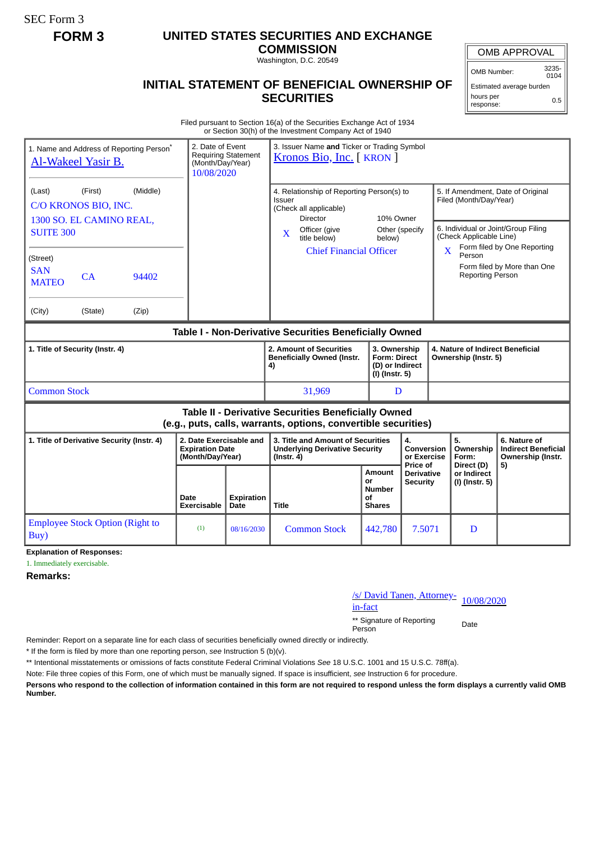SEC Form 3

## **FORM 3 UNITED STATES SECURITIES AND EXCHANGE**

**COMMISSION** Washington, D.C. 20549

## **INITIAL STATEMENT OF BENEFICIAL OWNERSHIP OF SECURITIES**

OMB APPROVAL

OMB Number: 3235-  $0104$ 

Estimated average burden hours per response: 0.5

Filed pursuant to Section 16(a) of the Securities Exchange Act of 1934 or Section 30(h) of the Investment Company Act of 1940

| 1. Name and Address of Reporting Person <sup>®</sup><br>Al-Wakeel Yasir B.                                            |               |                | 2. Date of Event<br>3. Issuer Name and Ticker or Trading Symbol<br><b>Requiring Statement</b><br>Kronos Bio, Inc. [KRON]<br>(Month/Day/Year)<br>10/08/2020 |                                                                    |                                                                                                                                                                          |                                                                          |                                             |                                                                                                                                                                              |                                        |                                                                 |
|-----------------------------------------------------------------------------------------------------------------------|---------------|----------------|------------------------------------------------------------------------------------------------------------------------------------------------------------|--------------------------------------------------------------------|--------------------------------------------------------------------------------------------------------------------------------------------------------------------------|--------------------------------------------------------------------------|---------------------------------------------|------------------------------------------------------------------------------------------------------------------------------------------------------------------------------|----------------------------------------|-----------------------------------------------------------------|
| (Middle)<br>(Last)<br>(First)<br>C/O KRONOS BIO, INC.<br>1300 SO. EL CAMINO REAL,<br><b>SUITE 300</b>                 |               |                |                                                                                                                                                            |                                                                    | 4. Relationship of Reporting Person(s) to<br>Issuer<br>(Check all applicable)<br><b>Director</b><br>Officer (give<br>X<br>title below)<br><b>Chief Financial Officer</b> | 10% Owner<br>Other (specify<br>below)                                    |                                             | 5. If Amendment, Date of Original<br>Filed (Month/Day/Year)<br>6. Individual or Joint/Group Filing<br>(Check Applicable Line)<br>Form filed by One Reporting<br>$\mathbf{X}$ |                                        |                                                                 |
| (Street)<br><b>SAN</b><br><b>MATEO</b><br>(City)                                                                      | CA<br>(State) | 94402<br>(Zip) |                                                                                                                                                            |                                                                    |                                                                                                                                                                          |                                                                          |                                             |                                                                                                                                                                              | Person<br><b>Reporting Person</b>      | Form filed by More than One                                     |
| Table I - Non-Derivative Securities Beneficially Owned                                                                |               |                |                                                                                                                                                            |                                                                    |                                                                                                                                                                          |                                                                          |                                             |                                                                                                                                                                              |                                        |                                                                 |
| 1. Title of Security (Instr. 4)                                                                                       |               |                |                                                                                                                                                            | 2. Amount of Securities<br><b>Beneficially Owned (Instr.</b><br>4) |                                                                                                                                                                          | 3. Ownership<br><b>Form: Direct</b><br>(D) or Indirect<br>(I) (Instr. 5) |                                             | 4. Nature of Indirect Beneficial<br>Ownership (Instr. 5)                                                                                                                     |                                        |                                                                 |
| <b>Common Stock</b>                                                                                                   |               |                |                                                                                                                                                            |                                                                    | 31,969                                                                                                                                                                   |                                                                          | D                                           |                                                                                                                                                                              |                                        |                                                                 |
| Table II - Derivative Securities Beneficially Owned<br>(e.g., puts, calls, warrants, options, convertible securities) |               |                |                                                                                                                                                            |                                                                    |                                                                                                                                                                          |                                                                          |                                             |                                                                                                                                                                              |                                        |                                                                 |
| 1. Title of Derivative Security (Instr. 4)                                                                            |               |                | 2. Date Exercisable and<br><b>Expiration Date</b><br>(Month/Day/Year)                                                                                      |                                                                    | 3. Title and Amount of Securities<br><b>Underlying Derivative Security</b><br>$($ Instr. 4 $)$                                                                           |                                                                          | 4.<br>Conversion<br>or Exercise<br>Price of |                                                                                                                                                                              | 5.<br>Ownership<br>Form:<br>Direct (D) | 6. Nature of<br><b>Indirect Beneficial</b><br>Ownership (Instr. |
|                                                                                                                       |               |                | Date<br><b>Exercisable</b>                                                                                                                                 | <b>Expiration</b><br>Date                                          | Title                                                                                                                                                                    | Amount<br>or<br>Number<br>οf<br><b>Shares</b>                            | Derivative<br><b>Security</b>               |                                                                                                                                                                              | or Indirect<br>(I) (Instr. 5)          | 5)                                                              |
| <b>Employee Stock Option (Right to</b><br>Buy)                                                                        |               | (1)            | 08/16/2030                                                                                                                                                 | <b>Common Stock</b>                                                | 442,780                                                                                                                                                                  | 7.5071                                                                   |                                             | D                                                                                                                                                                            |                                        |                                                                 |

**Explanation of Responses:**

1. Immediately exercisable.

**Remarks:**

/s/ David Tanen, Attorney-<br>in-fact

\*\* Signature of Reporting Person Date

Reminder: Report on a separate line for each class of securities beneficially owned directly or indirectly.

\* If the form is filed by more than one reporting person, *see* Instruction 5 (b)(v).

\*\* Intentional misstatements or omissions of facts constitute Federal Criminal Violations *See* 18 U.S.C. 1001 and 15 U.S.C. 78ff(a).

Note: File three copies of this Form, one of which must be manually signed. If space is insufficient, *see* Instruction 6 for procedure.

**Persons who respond to the collection of information contained in this form are not required to respond unless the form displays a currently valid OMB Number.**